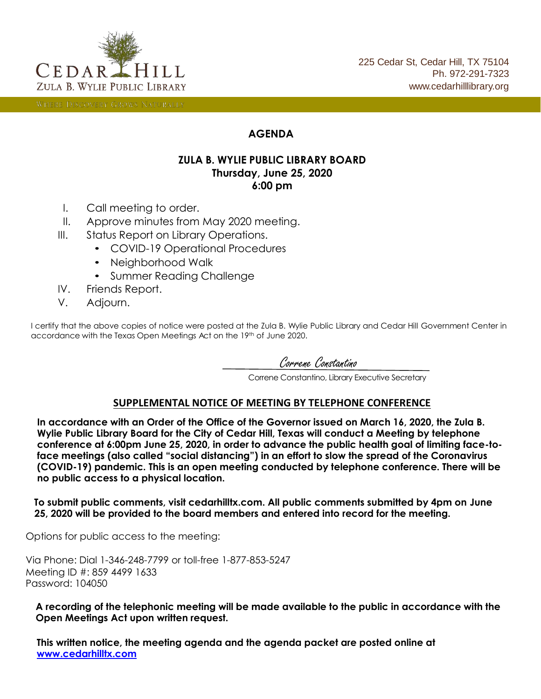

WHERE DISCOVERY GROWS NATURALLY

# **AGENDA**

## **ZULA B. WYLIE PUBLIC LIBRARY BOARD Thursday, June 25, 2020 6:00 pm**

- I. Call meeting to order.
- II. Approve minutes from May 2020 meeting.
- III. Status Report on Library Operations.
	- COVID-19 Operational Procedures
	- Neighborhood Walk
	- Summer Reading Challenge
- IV. Friends Report.
- V. Adjourn.

I certify that the above copies of notice were posted at the Zula B. Wylie Public Library and Cedar Hill Government Center in accordance with the Texas Open Meetings Act on the 19th of June 2020.

Correne Constantino

Correne Constantino, Library Executive Secretary

## **SUPPLEMENTAL NOTICE OF MEETING BY TELEPHONE CONFERENCE**

**In accordance with an Order of the Office of the Governor issued on March 16, 2020, the Zula B. Wylie Public Library Board for the City of Cedar Hill, Texas will conduct a Meeting by telephone conference at 6:00pm June 25, 2020, in order to advance the public health goal of limiting face-toface meetings (also called "social distancing") in an effort to slow the spread of the Coronavirus (COVID-19) pandemic. This is an open meeting conducted by telephone conference. There will be no public access to a physical location.**

**To submit public comments, visit cedarhilltx.com. All public comments submitted by 4pm on June 25, 2020 will be provided to the board members and entered into record for the meeting.**

Options for public access to the meeting:

Via Phone: Dial 1-346-248-7799 or toll-free 1-877-853-5247 Meeting ID #: 859 4499 1633 Password: 104050

**A recording of the telephonic meeting will be made available to the public in accordance with the Open Meetings Act upon written request.**

**This written notice, the meeting agenda and the agenda packet are posted online at [www.cedarhilltx.com](http://cedarhilltx.com/)**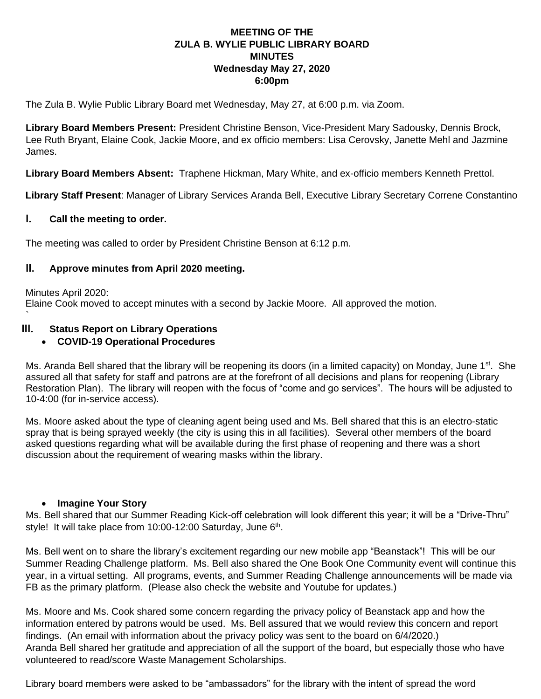## **MEETING OF THE ZULA B. WYLIE PUBLIC LIBRARY BOARD MINUTES Wednesday May 27, 2020 6:00pm**

The Zula B. Wylie Public Library Board met Wednesday, May 27, at 6:00 p.m. via Zoom.

**Library Board Members Present:** President Christine Benson, Vice-President Mary Sadousky, Dennis Brock, Lee Ruth Bryant, Elaine Cook, Jackie Moore, and ex officio members: Lisa Cerovsky, Janette Mehl and Jazmine James.

**Library Board Members Absent:** Traphene Hickman, Mary White, and ex-officio members Kenneth Prettol.

**Library Staff Present**: Manager of Library Services Aranda Bell, Executive Library Secretary Correne Constantino

#### **I. Call the meeting to order.**

`

The meeting was called to order by President Christine Benson at 6:12 p.m.

#### **II. Approve minutes from April 2020 meeting.**

Minutes April 2020: Elaine Cook moved to accept minutes with a second by Jackie Moore. All approved the motion.

## **III. Status Report on Library Operations**

#### • **COVID-19 Operational Procedures**

Ms. Aranda Bell shared that the library will be reopening its doors (in a limited capacity) on Monday, June 1<sup>st</sup>. She assured all that safety for staff and patrons are at the forefront of all decisions and plans for reopening (Library Restoration Plan). The library will reopen with the focus of "come and go services". The hours will be adjusted to 10-4:00 (for in-service access).

Ms. Moore asked about the type of cleaning agent being used and Ms. Bell shared that this is an electro-static spray that is being sprayed weekly (the city is using this in all facilities). Several other members of the board asked questions regarding what will be available during the first phase of reopening and there was a short discussion about the requirement of wearing masks within the library.

#### • **Imagine Your Story**

Ms. Bell shared that our Summer Reading Kick-off celebration will look different this year; it will be a "Drive-Thru" style! It will take place from 10:00-12:00 Saturday, June 6<sup>th</sup>.

Ms. Bell went on to share the library's excitement regarding our new mobile app "Beanstack"! This will be our Summer Reading Challenge platform. Ms. Bell also shared the One Book One Community event will continue this year, in a virtual setting. All programs, events, and Summer Reading Challenge announcements will be made via FB as the primary platform. (Please also check the website and Youtube for updates.)

Ms. Moore and Ms. Cook shared some concern regarding the privacy policy of Beanstack app and how the information entered by patrons would be used. Ms. Bell assured that we would review this concern and report findings. (An email with information about the privacy policy was sent to the board on 6/4/2020.) Aranda Bell shared her gratitude and appreciation of all the support of the board, but especially those who have volunteered to read/score Waste Management Scholarships.

Library board members were asked to be "ambassadors" for the library with the intent of spread the word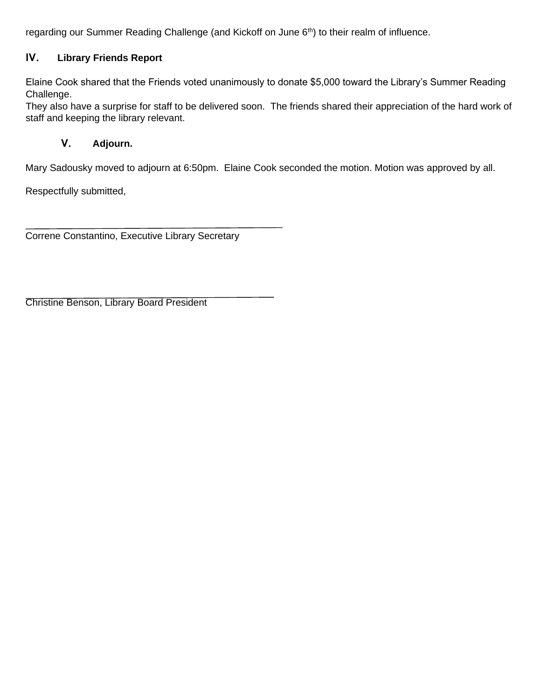regarding our Summer Reading Challenge (and Kickoff on June  $6<sup>th</sup>$ ) to their realm of influence.

# **IV. Library Friends Report**

Elaine Cook shared that the Friends voted unanimously to donate \$5,000 toward the Library's Summer Reading Challenge.

They also have a surprise for staff to be delivered soon. The friends shared their appreciation of the hard work of staff and keeping the library relevant.

# **V. Adjourn.**

Mary Sadousky moved to adjourn at 6:50pm. Elaine Cook seconded the motion. Motion was approved by all.

Respectfully submitted,

Correne Constantino, Executive Library Secretary

Christine Benson, Library Board President